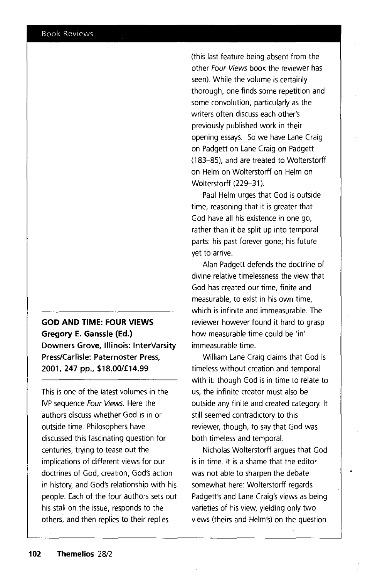## **GOD AND TIME: FOUR VIEWS Gregory E. Ganssle (Ed.) Downers Grove, Illinois: lnterVarsity Press/Carlisle: Paternoster Press, 2001, 247 pp., \$18.00/£14.99**

This is one of the latest volumes in the IVP sequence Four Views. Here the authors discuss whether God is in or outside time. Philosophers have discussed this fascinating question for centuries, trying to tease out the implications of different views for our doctrines of God, creation, God's action in history, and God's relationship with his people. Each of the four authors sets out his stall on the issue, responds to the others, and then replies to their replies

(this last feature being absent from the other Four Views book the reviewer has seen). While the volume is certainly thorough, one finds some repetition and some convolution, particularly as the writers often discuss each other's previously published work in their opening essays. So we have Lane Craig on Padgett on Lane Craig on Padgett ( 183-85), and are treated to Wolterstorff on Helm on Wolterstorff on Helm on Wolterstorff (229-31).

Paul Helm urges that God is outside time, reasoning that it is greater that God have all his existence in one go, rather than it be split up into temporal parts: his past forever gone; his future yet to arrive.

Alan Padgett defends the doctrine of divine relative timelessness the view that God has created our time, finite and measurable, to exist in his own time, which is infinite and immeasurable. The reviewer however found it hard to grasp how measurable time could be 'in' immeasurable time.

William Lane Craig claims that God is timeless without creation and temporal with it: though God is in time to relate to us, the infinite creator must also be outside any finite and created category. It still seemed contradictory to this reviewer, though, to say that God was both timeless and temporal.

Nicholas Wolterstorff argues that God is in time. It is a shame that the editor was not able to sharpen the debate somewhat here: Wolterstorff regards Padgett's and Lane Craig's views as being varieties of his view, yielding only two views (theirs and Helm's) on the question